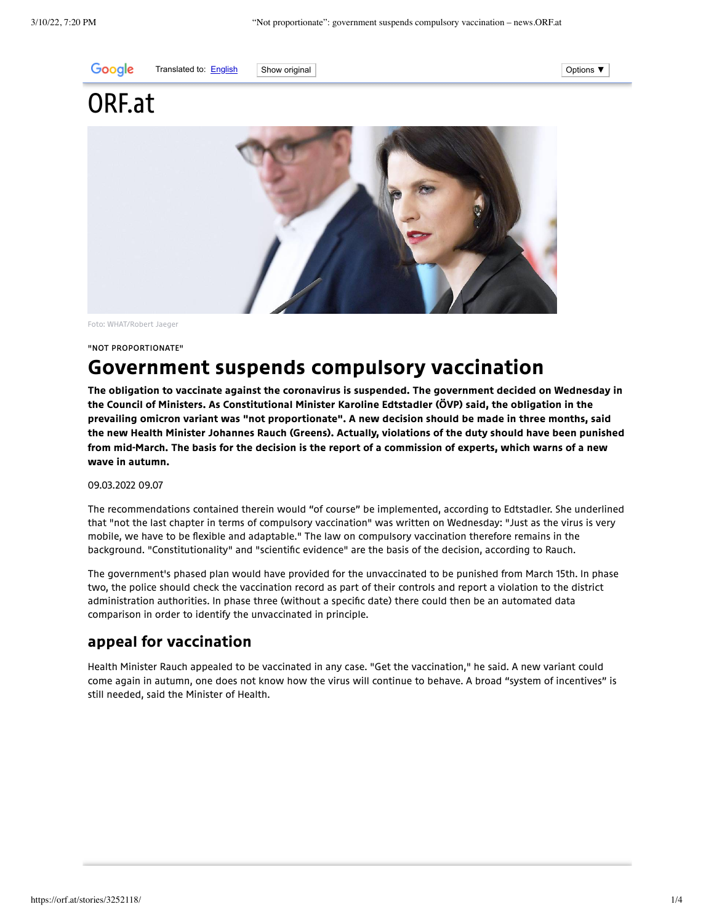

Translated to: [English](javascript:void(0)) Show original Contact Show original Options ▼

# ORF.at

Foto: WHAT/Robert Jaeger

"Not proportionate"

# Government suspends compulsory vaccination

The obligation to vaccinate against the coronavirus is suspended. The government decided on Wednesday in the Council of Ministers. As Constitutional Minister Karoline Edtstadler (ÖVP) said, the obligation in the prevailing omicron variant was "not proportionate". A new decision should be made in three months, said the new Health Minister Johannes Rauch (Greens). Actually, violations of the duty should have been punished from mid-March. The basis for the decision is the report of a commission of experts, which warns of a new wave in autumn.

09.03.2022 09.07

The recommendations contained therein would "of course" be implemented, according to Edtstadler. She underlined that "not the last chapter in terms of compulsory vaccination" was written on Wednesday: "Just as the virus is very mobile, we have to be flexible and adaptable." The law on compulsory vaccination therefore remains in the background. "Constitutionality" and "scientific evidence" are the basis of the decision, according to Rauch.

The government's phased plan would have provided for the unvaccinated to be punished from March 15th. In phase two, the police should check the vaccination record as part of their controls and report a violation to the district administration authorities. In phase three (without a specific date) there could then be an automated data comparison in order to identify the unvaccinated in principle.

## appeal for vaccination

Health Minister Rauch appealed to be vaccinated in any case. "Get the vaccination," he said. A new variant could come again in autumn, one does not know how the virus will continue to behave. A broad "system of incentives" is still needed, said the Minister of Health.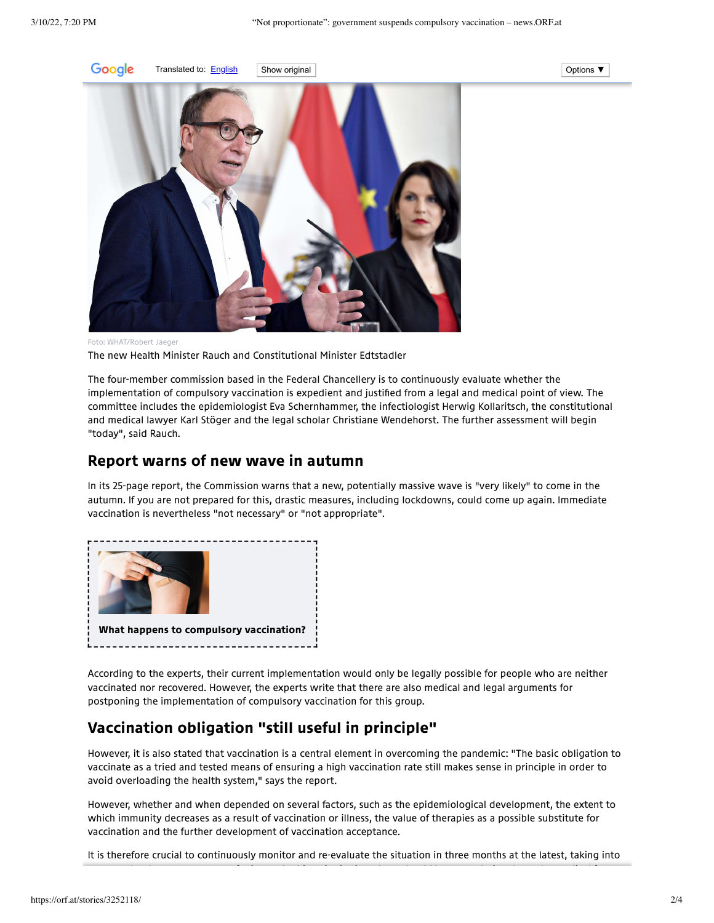

Translated to: [English](javascript:void(0)) Show original Contact Show original Options ▼



Foto: WHAT/Robert Jaeger The new Health Minister Rauch and Constitutional Minister Edtstadler

The four-member commission based in the Federal Chancellery is to continuously evaluate whether the implementation of compulsory vaccination is expedient and justified from a legal and medical point of view. The committee includes the epidemiologist Eva Schernhammer, the infectiologist Herwig Kollaritsch, the constitutional

and medical lawyer Karl Stöger and the legal scholar Christiane Wendehorst. The further assessment will begin "today", said Rauch.

### Report warns of new wave in autumn

In its 25-page report, the Commission warns that a new, potentially massive wave is "very likely" to come in the autumn. If you are not prepared for this, drastic measures, including lockdowns, could come up again. Immediate vaccination is nevertheless "not necessary" or "not appropriate".



According to the experts, their current implementation would only be legally possible for people who are neither vaccinated nor recovered. However, the experts write that there are also medical and legal arguments for postponing the implementation of compulsory vaccination for this group.

# Vaccination obligation "still useful in principle"

However, it is also stated that vaccination is a central element in overcoming the pandemic: "The basic obligation to vaccinate as a tried and tested means of ensuring a high vaccination rate still makes sense in principle in order to avoid overloading the health system," says the report.

However, whether and when depended on several factors, such as the epidemiological development, the extent to which immunity decreases as a result of vaccination or illness, the value of therapies as a possible substitute for vaccination and the further development of vaccination acceptance.

It is therefore crucial to continuously monitor and re-evaluate the situation in three months at the latest, taking into

t the three that the third behind the third behind by the third behind by the third by the third by the third b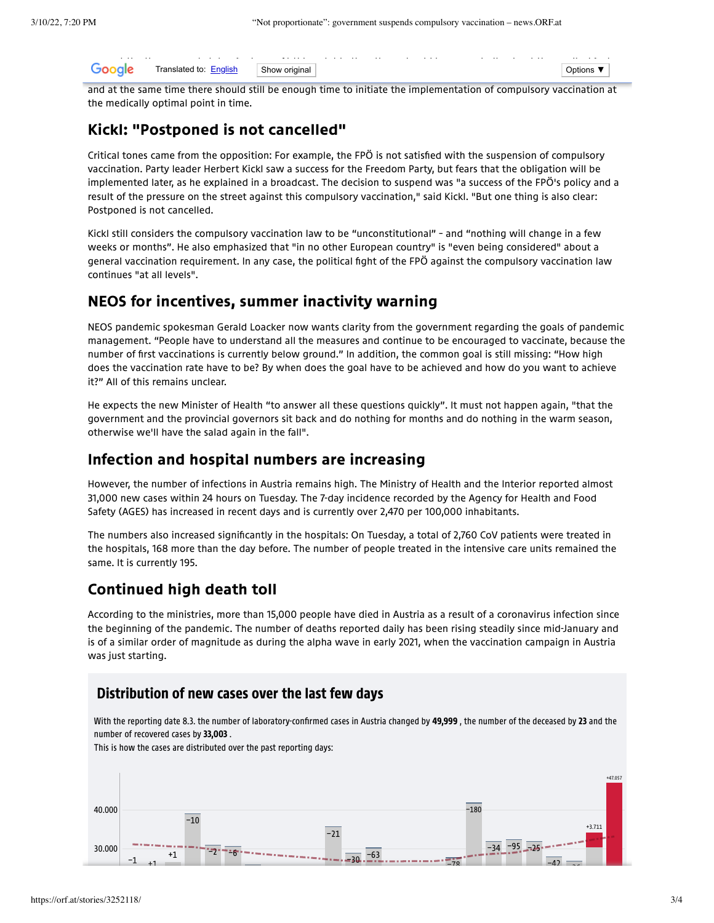| $\sim$<br>Go<br>ale | Translated to: English | Show original | <b>Options</b> |  |
|---------------------|------------------------|---------------|----------------|--|
|                     |                        |               |                |  |

and at the same time there should still be enough time to initiate the implementation of compulsory vaccination at the medically optimal point in time.

### Kickl: "Postponed is not cancelled"

Critical tones came from the opposition: For example, the FPÖ is not satisfied with the suspension of compulsory vaccination. Party leader Herbert Kickl saw a success for the Freedom Party, but fears that the obligation will be implemented later, as he explained in a broadcast. The decision to suspend was "a success of the FPÖ's policy and a result of the pressure on the street against this compulsory vaccination," said Kickl. "But one thing is also clear: Postponed is not cancelled.

Kickl still considers the compulsory vaccination law to be "unconstitutional" – and "nothing will change in a few weeks or months". He also emphasized that "in no other European country" is "even being considered" about a general vaccination requirement. In any case, the political fight of the FPÖ against the compulsory vaccination law continues "at all levels".

### NEOS for incentives, summer inactivity warning

NEOS pandemic spokesman Gerald Loacker now wants clarity from the government regarding the goals of pandemic management. "People have to understand all the measures and continue to be encouraged to vaccinate, because the number of first vaccinations is currently below ground." In addition, the common goal is still missing: "How high does the vaccination rate have to be? By when does the goal have to be achieved and how do you want to achieve it?" All of this remains unclear.

He expects the new Minister of Health "to answer all these questions quickly". It must not happen again, "that the government and the provincial governors sit back and do nothing for months and do nothing in the warm season, otherwise we'll have the salad again in the fall".

### Infection and hospital numbers are increasing

However, the number of infections in Austria remains high. The Ministry of Health and the Interior reported almost 31,000 new cases within 24 hours on Tuesday. The 7-day incidence recorded by the Agency for Health and Food Safety (AGES) has increased in recent days and is currently over 2,470 per 100,000 inhabitants.

The numbers also increased significantly in the hospitals: On Tuesday, a total of 2,760 CoV patients were treated in the hospitals, 168 more than the day before. The number of people treated in the intensive care units remained the same. It is currently 195.

### Continued high death toll

According to the ministries, more than 15,000 people have died in Austria as a result of a coronavirus infection since the beginning of the pandemic. The number of deaths reported daily has been rising steadily since mid-January and is of a similar order of magnitude as during the alpha wave in early 2021, when the vaccination campaign in Austria was just starting.

### Distribution of new cases over the last few days

With the reporting date 8.3. the number of laboratory-confirmed cases in Austria changed by 49,999, the number of the deceased by 23 and the number of recovered cases by 33,003 .

This is how the cases are distributed over the past reporting days: